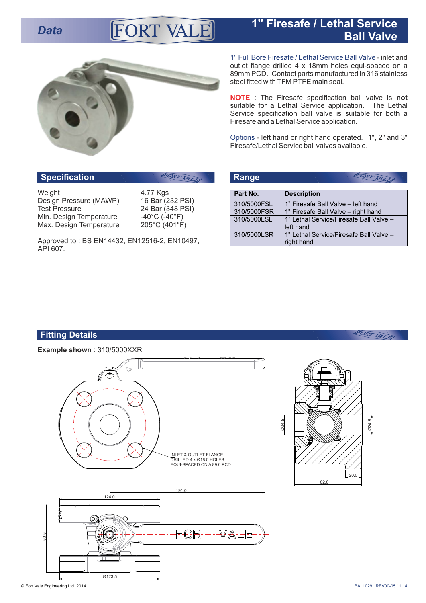## **Data 1" Firesafe / Lethal Service Property ALE Ball Valve**



1" Full Bore Firesafe / Lethal Service Ball Valve - inlet and outlet flange drilled 4 x 18mm holes equi-spaced on a 89mm PCD. Contact parts manufactured in 316 stainless steel fitted with TFM PTFE main seal.

 : The Firesafe specification ball valve is **not NOTE** suitable for a Lethal Service application. The Lethal Service specification ball valve is suitable for both a Firesafe and a Lethal Service application.

Options - left hand or right hand operated. 1", 2" and 3" Firesafe/Lethal Service ball valves available.

# **Specification Range Range**

Weight 4.77 Kgs Design Pressure (MAWP)<br>Test Pressure Min. Design Temperature -40°C (-40°F)<br>Max. Design Temperature 205°C (401°F) Max. Design Temperature

16 Bar (232 PSI)<br>24 Bar (348 PSI)<br>-40°C (-40°F)

Approved to : BS EN14432, EN12516-2, EN10497, API 607.

| Range       | FORT VALET                                            |
|-------------|-------------------------------------------------------|
| Part No.    | <b>Description</b>                                    |
| 310/5000FSL | 1" Firesafe Ball Valve - left hand                    |
| 310/5000FSR | 1" Firesafe Ball Valve - right hand                   |
| 310/5000LSL | 1" Lethal Service/Firesafe Ball Valve -<br>left hand  |
| 310/5000LSR | 1" Lethal Service/Firesafe Ball Valve -<br>right hand |

## **Fitting Details**

**Example shown** : 310/5000XXR





FORT VALEY